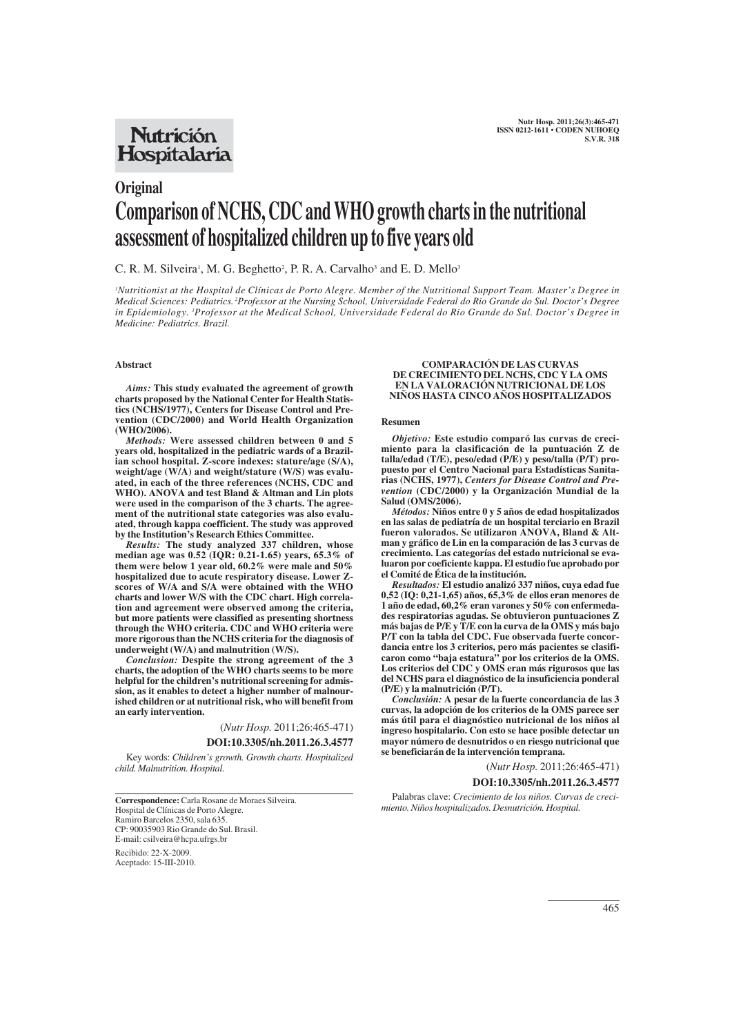## **Nutrición** Hospitalaria

# **Original Comparison of NCHS, CDC and WHO growth charts in the nutritional assessment of hospitalized children up to five years old**

## C. R. M. Silveira<sup>1</sup>, M. G. Beghetto<sup>2</sup>, P. R. A. Carvalho<sup>3</sup> and E. D. Mello<sup>3</sup>

*1 Nutritionist at the Hospital de Clínicas de Porto Alegre. Member of the Nutritional Support Team. Master's Degree in Medical Sciences: Pediatrics. <sup>2</sup> Professor at the Nursing School, Universidade Federal do Rio Grande do Sul. Doctor's Degree in Epidemiology. 3 Professor at the Medical School, Universidade Federal do Rio Grande do Sul. Doctor's Degree in Medicine: Pediatrics. Brazil.*

#### **Abstract**

*Aims:* **This study evaluated the agreement of growth charts proposed by the National Center for Health Statistics (NCHS/1977), Centers for Disease Control and Prevention (CDC/2000) and World Health Organization (WHO/2006).**

*Methods:* **Were assessed children between 0 and 5 years old, hospitalized in the pediatric wards of a Brazilian school hospital. Z-score indexes: stature/age (S/A), weight/age (W/A) and weight/stature (W/S) was evaluated, in each of the three references (NCHS, CDC and WHO). ANOVA and test Bland & Altman and Lin plots were used in the comparison of the 3 charts. The agreement of the nutritional state categories was also evaluated, through kappa coefficient. The study was approved by the Institution's Research Ethics Committee.** 

*Results:* **The study analyzed 337 children, whose median age was 0.52 (IQR: 0.21-1.65) years, 65.3% of them were below 1 year old, 60.2% were male and 50% hospitalized due to acute respiratory disease. Lower Zscores of W/A and S/A were obtained with the WHO charts and lower W/S with the CDC chart. High correlation and agreement were observed among the criteria, but more patients were classified as presenting shortness through the WHO criteria. CDC and WHO criteria were more rigorous than the NCHS criteria for the diagnosis of underweight (W/A) and malnutrition (W/S).** 

*Conclusion:* **Despite the strong agreement of the 3 charts, the adoption of the WHO charts seems to be more helpful for the children's nutritional screening for admission, as it enables to detect a higher number of malnourished children or at nutritional risk, who will benefit from an early intervention.**

(*Nutr Hosp.* 2011;26:465-471)

## **DOI:10.3305/nh.2011.26.3.4577**

Key words: *Children's growth. Growth charts. Hospitalized child. Malnutrition. Hospital.*

**Correspondence:** Carla Rosane de Moraes Silveira. Hospital de Clínicas de Porto Alegre. Ramiro Barcelos 2350, sala 635. CP: 90035903 Rio Grande do Sul. Brasil. E-mail: csilveira@hcpa.ufrgs.br

Recibido: 22-X-2009. Aceptado: 15-III-2010.

#### **COMPARACIÓN DE LAS CURVAS DE CRECIMIENTO DEL NCHS, CDC Y LA OMS EN LA VALORACIÓN NUTRICIONAL DE LOS NIÑOS HASTA CINCO AÑOS HOSPITALIZADOS**

#### **Resumen**

*Objetivo:* **Este estudio comparó las curvas de crecimiento para la clasificación de la puntuación Z de talla/edad (T/E), peso/edad (P/E) y peso/talla (P/T) propuesto por el Centro Nacional para Estadísticas Sanitarias (NCHS, 1977),** *Centers for Disease Control and Prevention* **(CDC/2000) y la Organización Mundial de la Salud (OMS/2006).** 

*Métodos:* **Niños entre 0 y 5 años de edad hospitalizados en las salas de pediatría de un hospital terciario en Brazil fueron valorados. Se utilizaron ANOVA, Bland & Altman y gráfico de Lin en la comparación de las 3 curvas de crecimiento. Las categorías del estado nutricional se evaluaron por coeficiente kappa. El estudio fue aprobado por el Comité de Ética de la institución.** 

*Resultados:* **El estudio analizó 337 niños, cuya edad fue 0,52 (IQ: 0,21-1,65) años, 65,3% de ellos eran menores de 1 año de edad, 60,2% eran varones y 50% con enfermedades respiratorias agudas. Se obtuvieron puntuaciones Z más bajas de P/E y T/E con la curva de la OMS y más bajo P/T con la tabla del CDC. Fue observada fuerte concordancia entre los 3 criterios, pero más pacientes se clasificaron como "baja estatura" por los criterios de la OMS. Los criterios del CDC y OMS eran más rigurosos que las del NCHS para el diagnóstico de la insuficiencia ponderal (P/E) y la malnutrición (P/T).** 

*Conclusión:* **A pesar de la fuerte concordancia de las 3 curvas, la adopción de los criterios de la OMS parece ser más útil para el diagnóstico nutricional de los niños al ingreso hospitalario. Con esto se hace posible detectar un mayor número de desnutridos o en riesgo nutricional que se beneficiarán de la intervención temprana.** 

(*Nutr Hosp.* 2011;26:465-471)

**DOI:10.3305/nh.2011.26.3.4577**

Palabras clave: *Crecimiento de los niños. Curvas de crecimiento. Niños hospitalizados. Desnutrición. Hospital.*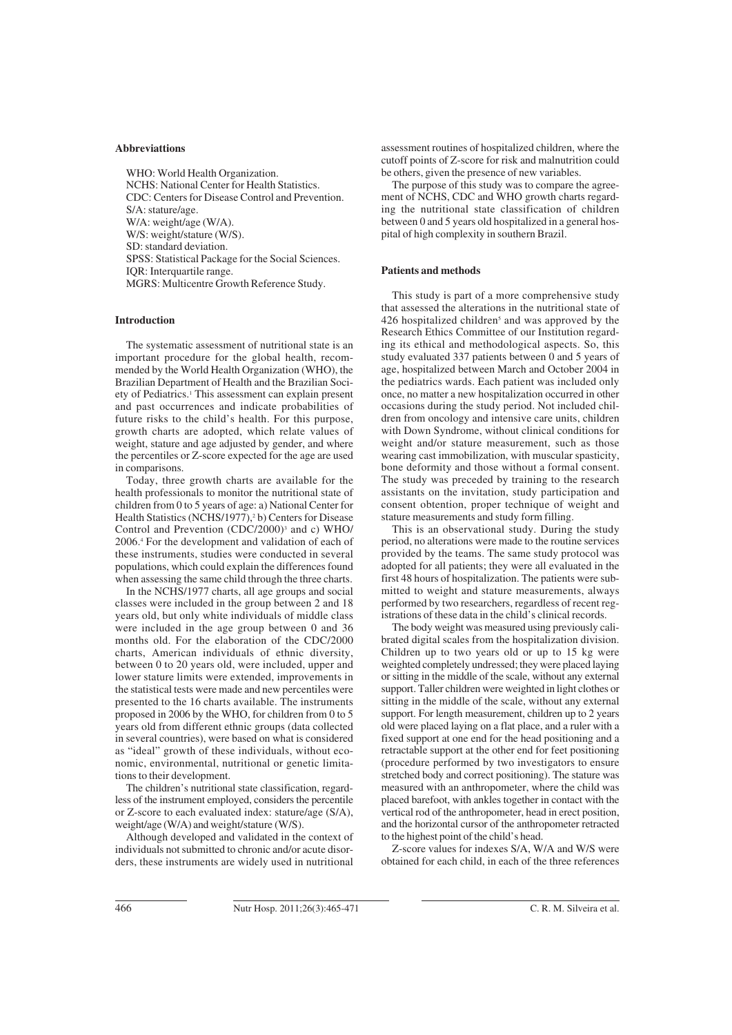#### **Abbreviattions**

WHO: World Health Organization. NCHS: National Center for Health Statistics. CDC: Centers for Disease Control and Prevention. S/A: stature/age. W/A: weight/age (W/A). W/S: weight/stature (W/S). SD: standard deviation. SPSS: Statistical Package for the Social Sciences. IQR: Interquartile range. MGRS: Multicentre Growth Reference Study.

## **Introduction**

The systematic assessment of nutritional state is an important procedure for the global health, recommended by the World Health Organization (WHO), the Brazilian Department of Health and the Brazilian Society of Pediatrics.1 This assessment can explain present and past occurrences and indicate probabilities of future risks to the child's health. For this purpose, growth charts are adopted, which relate values of weight, stature and age adjusted by gender, and where the percentiles or Z-score expected for the age are used in comparisons.

Today, three growth charts are available for the health professionals to monitor the nutritional state of children from 0 to 5 years of age: a) National Center for Health Statistics (NCHS/1977),<sup>2</sup> b) Centers for Disease Control and Prevention (CDC/2000)<sup>3</sup> and c) WHO/ 2006.4 For the development and validation of each of these instruments, studies were conducted in several populations, which could explain the differences found when assessing the same child through the three charts.

In the NCHS/1977 charts, all age groups and social classes were included in the group between 2 and 18 years old, but only white individuals of middle class were included in the age group between 0 and 36 months old. For the elaboration of the CDC/2000 charts, American individuals of ethnic diversity, between 0 to 20 years old, were included, upper and lower stature limits were extended, improvements in the statistical tests were made and new percentiles were presented to the 16 charts available. The instruments proposed in 2006 by the WHO, for children from 0 to 5 years old from different ethnic groups (data collected in several countries), were based on what is considered as "ideal" growth of these individuals, without economic, environmental, nutritional or genetic limitations to their development.

The children's nutritional state classification, regardless of the instrument employed, considers the percentile or Z-score to each evaluated index: stature/age (S/A), weight/age (W/A) and weight/stature (W/S).

Although developed and validated in the context of individuals not submitted to chronic and/or acute disorders, these instruments are widely used in nutritional

assessment routines of hospitalized children, where the cutoff points of Z-score for risk and malnutrition could be others, given the presence of new variables.

The purpose of this study was to compare the agreement of NCHS, CDC and WHO growth charts regarding the nutritional state classification of children between 0 and 5 years old hospitalized in a general hospital of high complexity in southern Brazil.

#### **Patients and methods**

This study is part of a more comprehensive study that assessed the alterations in the nutritional state of 426 hospitalized children<sup>5</sup> and was approved by the Research Ethics Committee of our Institution regarding its ethical and methodological aspects. So, this study evaluated 337 patients between 0 and 5 years of age, hospitalized between March and October 2004 in the pediatrics wards. Each patient was included only once, no matter a new hospitalization occurred in other occasions during the study period. Not included children from oncology and intensive care units, children with Down Syndrome, without clinical conditions for weight and/or stature measurement, such as those wearing cast immobilization, with muscular spasticity, bone deformity and those without a formal consent. The study was preceded by training to the research assistants on the invitation, study participation and consent obtention, proper technique of weight and stature measurements and study form filling.

This is an observational study. During the study period, no alterations were made to the routine services provided by the teams. The same study protocol was adopted for all patients; they were all evaluated in the first 48 hours of hospitalization. The patients were submitted to weight and stature measurements, always performed by two researchers, regardless of recent registrations of these data in the child's clinical records.

The body weight was measured using previously calibrated digital scales from the hospitalization division. Children up to two years old or up to 15 kg were weighted completely undressed; they were placed laying or sitting in the middle of the scale, without any external support. Taller children were weighted in light clothes or sitting in the middle of the scale, without any external support. For length measurement, children up to 2 years old were placed laying on a flat place, and a ruler with a fixed support at one end for the head positioning and a retractable support at the other end for feet positioning (procedure performed by two investigators to ensure stretched body and correct positioning). The stature was measured with an anthropometer, where the child was placed barefoot, with ankles together in contact with the vertical rod of the anthropometer, head in erect position, and the horizontal cursor of the anthropometer retracted to the highest point of the child's head.

Z-score values for indexes S/A, W/A and W/S were obtained for each child, in each of the three references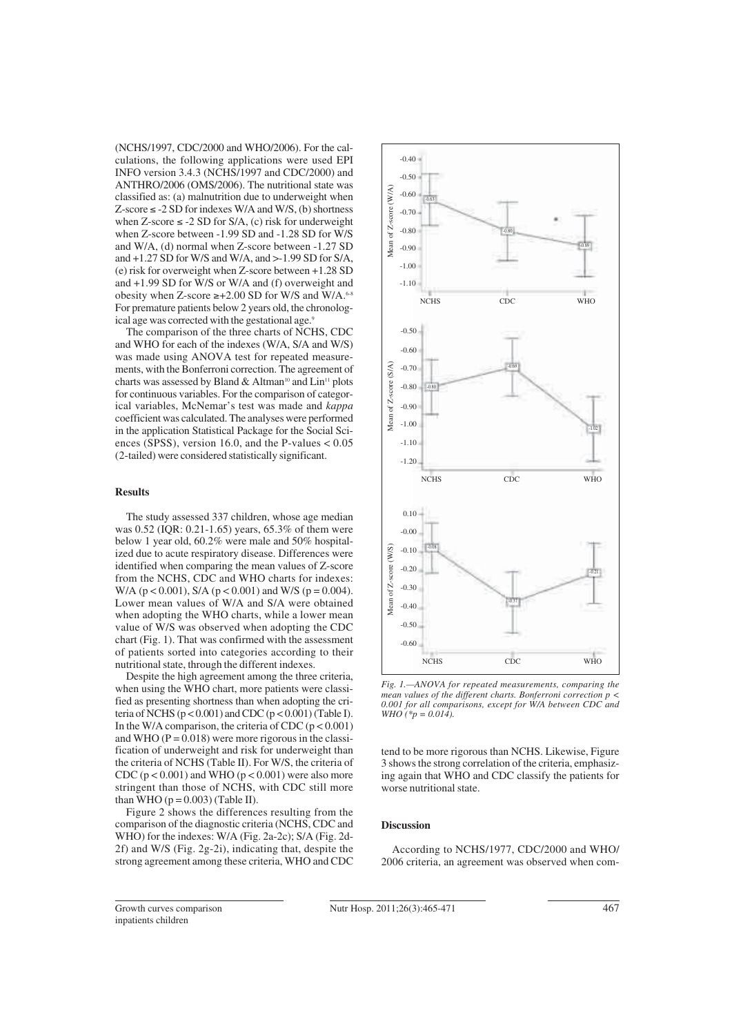(NCHS/1997, CDC/2000 and WHO/2006). For the calculations, the following applications were used EPI INFO version 3.4.3 (NCHS/1997 and CDC/2000) and ANTHRO/2006 (OMS/2006). The nutritional state was classified as: (a) malnutrition due to underweight when Z-score  $\leq$  -2 SD for indexes W/A and W/S, (b) shortness when Z-score  $\leq$  -2 SD for S/A, (c) risk for underweight when Z-score between -1.99 SD and -1.28 SD for W/S and W/A, (d) normal when Z-score between -1.27 SD and +1.27 SD for W/S and W/A, and >-1.99 SD for S/A, (e) risk for overweight when Z-score between +1.28 SD and +1.99 SD for W/S or W/A and (f) overweight and obesity when Z-score  $\geq +2.00$  SD for W/S and W/A.<sup>6-8</sup> For premature patients below 2 years old, the chronological age was corrected with the gestational age.9

The comparison of the three charts of NCHS, CDC and WHO for each of the indexes (W/A, S/A and W/S) was made using ANOVA test for repeated measurements, with the Bonferroni correction. The agreement of charts was assessed by Bland & Altman<sup>10</sup> and Lin<sup>11</sup> plots for continuous variables. For the comparison of categorical variables, McNemar's test was made and *kappa* coefficient was calculated. The analyses were performed in the application Statistical Package for the Social Sciences (SPSS), version 16.0, and the P-values  $< 0.05$ (2-tailed) were considered statistically significant.

### **Results**

The study assessed 337 children, whose age median was 0.52 (IQR: 0.21-1.65) years, 65.3% of them were below 1 year old, 60.2% were male and 50% hospitalized due to acute respiratory disease. Differences were identified when comparing the mean values of Z-score from the NCHS, CDC and WHO charts for indexes: W/A ( $p < 0.001$ ), S/A ( $p < 0.001$ ) and W/S ( $p = 0.004$ ). Lower mean values of W/A and S/A were obtained when adopting the WHO charts, while a lower mean value of W/S was observed when adopting the CDC chart (Fig. 1). That was confirmed with the assessment of patients sorted into categories according to their nutritional state, through the different indexes.

Despite the high agreement among the three criteria, when using the WHO chart, more patients were classified as presenting shortness than when adopting the criteria of NCHS ( $p < 0.001$ ) and CDC ( $p < 0.001$ ) (Table I). In the W/A comparison, the criteria of CDC  $(p < 0.001)$ and WHO  $(P = 0.018)$  were more rigorous in the classification of underweight and risk for underweight than the criteria of NCHS (Table II). For W/S, the criteria of CDC ( $p < 0.001$ ) and WHO ( $p < 0.001$ ) were also more stringent than those of NCHS, with CDC still more than WHO ( $p = 0.003$ ) (Table II).

Figure 2 shows the differences resulting from the comparison of the diagnostic criteria (NCHS, CDC and WHO) for the indexes: W/A (Fig. 2a-2c); S/A (Fig. 2d-2f) and W/S (Fig. 2g-2i), indicating that, despite the strong agreement among these criteria, WHO and CDC



*Fig. 1.—ANOVA for repeated measurements, comparing the mean values of the different charts. Bonferroni correction p < 0.001 for all comparisons, except for W/A between CDC and WHO* (\* $p = 0.014$ ).

tend to be more rigorous than NCHS. Likewise, Figure 3 shows the strong correlation of the criteria, emphasizing again that WHO and CDC classify the patients for worse nutritional state.

## **Discussion**

According to NCHS/1977, CDC/2000 and WHO/ 2006 criteria, an agreement was observed when com-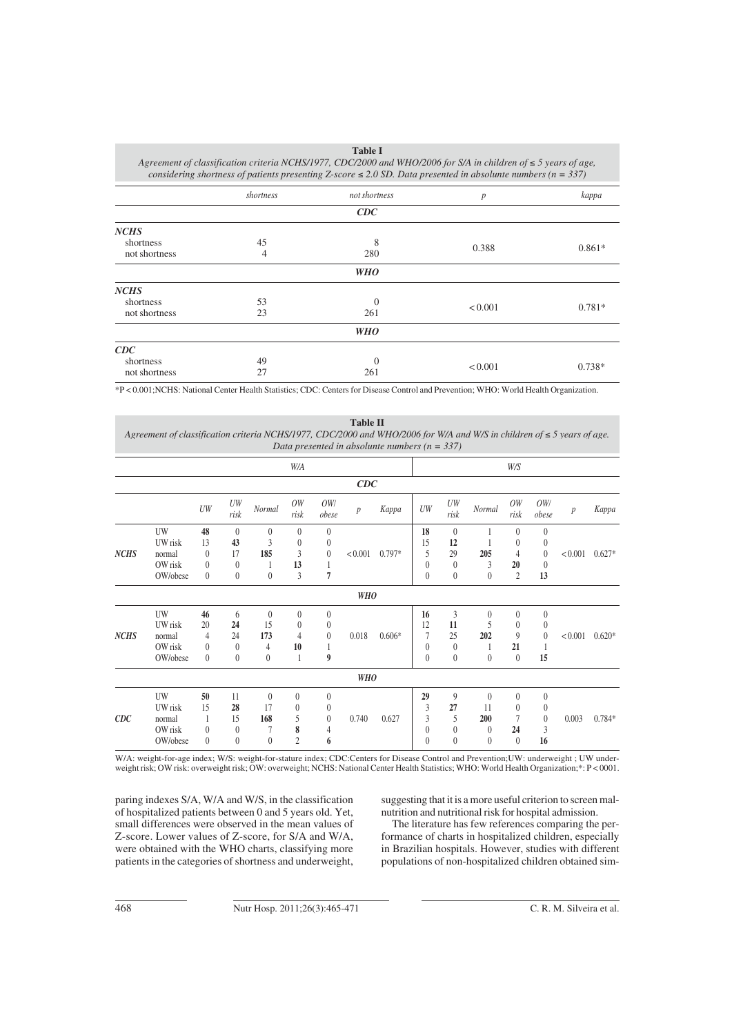| <b>Table I</b>                                                                                                      |  |
|---------------------------------------------------------------------------------------------------------------------|--|
| Agreement of classification criteria NCHS/1977, CDC/2000 and WHO/2006 for S/A in children of $\leq 5$ years of age, |  |
| considering shortness of patients presenting Z-score $\leq 2.0$ SD. Data presented in absolunte numbers (n = 337)   |  |

|               | shortness | not shortness | p       | kappa    |  |  |
|---------------|-----------|---------------|---------|----------|--|--|
|               |           | CDC           |         |          |  |  |
| <b>NCHS</b>   |           |               |         |          |  |  |
| shortness     | 45        | 8             |         |          |  |  |
| not shortness | 4         | 280           | 0.388   | $0.861*$ |  |  |
|               |           | <b>WHO</b>    |         |          |  |  |
| <b>NCHS</b>   |           |               |         |          |  |  |
| shortness     | 53        | $\Omega$      |         |          |  |  |
| not shortness | 23        | 261           | < 0.001 | $0.781*$ |  |  |
|               |           | <b>WHO</b>    |         |          |  |  |
| CDC           |           |               |         |          |  |  |
| shortness     | 49        | $\Omega$      |         |          |  |  |
| not shortness | 27        | 261           | < 0.001 | $0.738*$ |  |  |

\*P < 0.001;NCHS: National Center Health Statistics; CDC: Centers for Disease Control and Prevention; WHO: World Health Organization.

**Table II** *Agreement of classification criteria NCHS/1977, CDC/2000 and WHO/2006 for W/A and W/S in children of* - *5 years of age. Data presented in absolunte numbers (n = 337)*

|             |                                                |                                                          |                                                      |                                        | W/A                                                  |                                                    |                  |          |                                                       |                                                      |                                               | W/S                                                       |                                                          |         |          |
|-------------|------------------------------------------------|----------------------------------------------------------|------------------------------------------------------|----------------------------------------|------------------------------------------------------|----------------------------------------------------|------------------|----------|-------------------------------------------------------|------------------------------------------------------|-----------------------------------------------|-----------------------------------------------------------|----------------------------------------------------------|---------|----------|
| CDC         |                                                |                                                          |                                                      |                                        |                                                      |                                                    |                  |          |                                                       |                                                      |                                               |                                                           |                                                          |         |          |
|             |                                                | UW                                                       | UW<br>risk                                           | Normal                                 | OW<br>risk                                           | OW/<br>obese                                       | $\boldsymbol{p}$ | Kappa    | UW                                                    | UW<br>risk                                           | Normal                                        | OW<br>risk                                                | OW/<br>obese                                             | p       | Kappa    |
| <b>NCHS</b> | UW<br>UW risk<br>normal<br>OW risk<br>OW/obese | 48<br>13<br>$\theta$<br>$\overline{0}$<br>$\overline{0}$ | $\theta$<br>43<br>17<br>$\theta$<br>$\boldsymbol{0}$ | $\theta$<br>3<br>185<br>$\theta$       | $\mathbf{0}$<br>$\mathbf{0}$<br>3<br>13<br>3         | $\theta$<br>$\theta$<br>$\theta$<br>$\overline{7}$ | < 0.001          | $0.797*$ | 18<br>15<br>5<br>$\boldsymbol{0}$<br>$\boldsymbol{0}$ | $\theta$<br>12<br>29<br>$\theta$<br>$\boldsymbol{0}$ | 205<br>3<br>$\mathbf{0}$                      | $\mathbf{0}$<br>$\mathbf{0}$<br>4<br>20<br>$\overline{2}$ | $\theta$<br>$\overline{0}$<br>$\theta$<br>$\theta$<br>13 | < 0.001 | $0.627*$ |
|             |                                                |                                                          |                                                      |                                        |                                                      |                                                    | <b>WHO</b>       |          |                                                       |                                                      |                                               |                                                           |                                                          |         |          |
| <b>NCHS</b> | UW<br>UW risk<br>normal<br>OW risk<br>OW/obese | 46<br>20<br>4<br>$\theta$<br>$\overline{0}$              | 6<br>24<br>24<br>$\theta$<br>$\theta$                | $\theta$<br>15<br>173<br>4<br>$\theta$ | $\theta$<br>$\theta$<br>$\overline{4}$<br>10<br>1    | $\theta$<br>$\theta$<br>$\theta$<br>9              | 0.018            | $0.606*$ | 16<br>12<br>7<br>$\mathbf{0}$<br>$\theta$             | 3<br>11<br>25<br>$\overline{0}$<br>$\boldsymbol{0}$  | $\theta$<br>5<br>202<br>$\theta$              | $\theta$<br>$\theta$<br>9<br>21<br>$\mathbf{0}$           | $\boldsymbol{0}$<br>0<br>$\theta$<br>15                  | < 0.001 | $0.620*$ |
|             |                                                |                                                          |                                                      |                                        |                                                      |                                                    | <b>WHO</b>       |          |                                                       |                                                      |                                               |                                                           |                                                          |         |          |
| CDC         | UW<br>UW risk<br>normal<br>OW risk<br>OW/obese | 50<br>15<br>$\theta$<br>$\theta$                         | 11<br>28<br>15<br>$\theta$<br>$\theta$               | $\theta$<br>17<br>168<br>7<br>$\theta$ | $\mathbf{0}$<br>$\theta$<br>5<br>8<br>$\overline{c}$ | $\theta$<br>$\theta$<br>$\theta$<br>4<br>6         | 0.740            | 0.627    | 29<br>3<br>3<br>$\mathbf{0}$<br>$\mathbf{0}$          | 9<br>27<br>5<br>$\theta$<br>$\overline{0}$           | $\theta$<br>11<br>200<br>$\theta$<br>$\theta$ | $\theta$<br>$\theta$<br>7<br>24<br>$\theta$               | $\theta$<br>0<br>$\theta$<br>3<br>16                     | 0.003   | $0.784*$ |

W/A: weight-for-age index; W/S: weight-for-stature index; CDC:Centers for Disease Control and Prevention;UW: underweight ; UW underweight risk; OW risk: overweight risk; OW: overweight; NCHS: National Center Health Statistics; WHO: World Health Organization;\*: P < 0001.

paring indexes S/A, W/A and W/S, in the classification of hospitalized patients between 0 and 5 years old. Yet, small differences were observed in the mean values of Z-score. Lower values of Z-score, for S/A and W/A, were obtained with the WHO charts, classifying more patients in the categories of shortness and underweight,

suggesting that it is a more useful criterion to screen malnutrition and nutritional risk for hospital admission.

The literature has few references comparing the performance of charts in hospitalized children, especially in Brazilian hospitals. However, studies with different populations of non-hospitalized children obtained sim-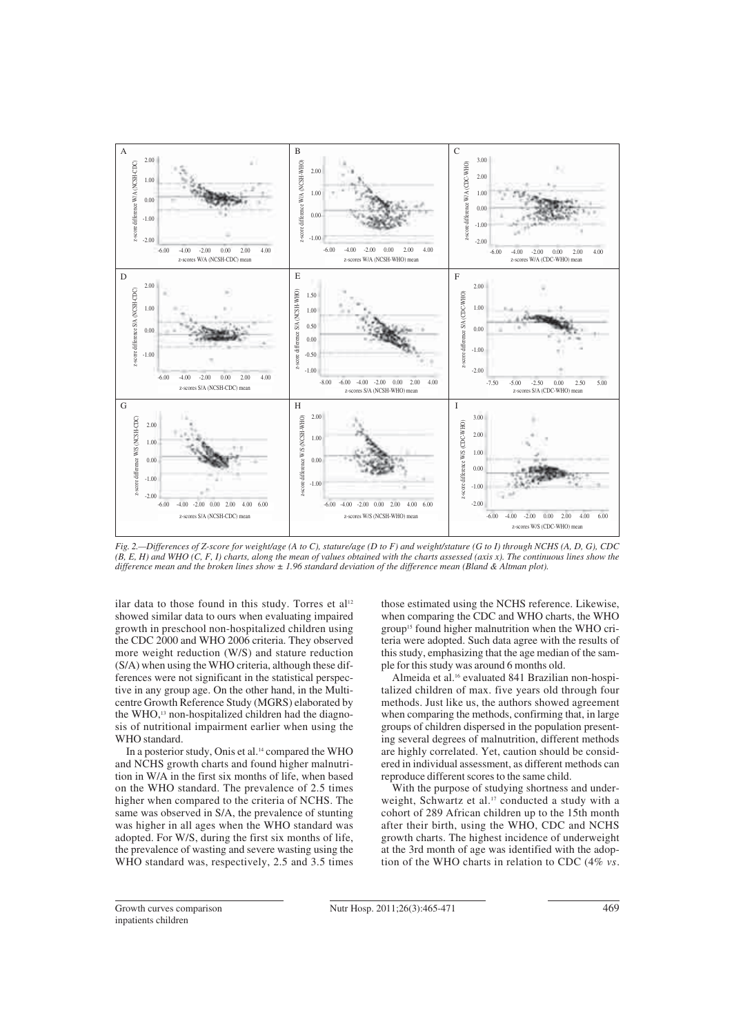

*Fig. 2.—Differences of Z-score for weight/age (A to C), stature/age (D to F) and weight/stature (G to I) through NCHS (A, D, G), CDC (B, E, H) and WHO (C, F, I) charts, along the mean of values obtained with the charts assessed (axis x). The continuous lines show the difference mean and the broken lines show ± 1.96 standard deviation of the difference mean (Bland & Altman plot).*

ilar data to those found in this study. Torres et al<sup>12</sup> showed similar data to ours when evaluating impaired growth in preschool non-hospitalized children using the CDC 2000 and WHO 2006 criteria. They observed more weight reduction (W/S) and stature reduction (S/A) when using the WHO criteria, although these differences were not significant in the statistical perspective in any group age. On the other hand, in the Multicentre Growth Reference Study (MGRS) elaborated by the WHO,<sup>13</sup> non-hospitalized children had the diagnosis of nutritional impairment earlier when using the WHO standard.

In a posterior study, Onis et al.<sup>14</sup> compared the WHO and NCHS growth charts and found higher malnutrition in W/A in the first six months of life, when based on the WHO standard. The prevalence of 2.5 times higher when compared to the criteria of NCHS. The same was observed in S/A, the prevalence of stunting was higher in all ages when the WHO standard was adopted. For W/S, during the first six months of life, the prevalence of wasting and severe wasting using the WHO standard was, respectively, 2.5 and 3.5 times those estimated using the NCHS reference. Likewise, when comparing the CDC and WHO charts, the WHO group<sup>15</sup> found higher malnutrition when the WHO criteria were adopted. Such data agree with the results of this study, emphasizing that the age median of the sample for this study was around 6 months old.

Almeida et al.16 evaluated 841 Brazilian non-hospitalized children of max. five years old through four methods. Just like us, the authors showed agreement when comparing the methods, confirming that, in large groups of children dispersed in the population presenting several degrees of malnutrition, different methods are highly correlated. Yet, caution should be considered in individual assessment, as different methods can reproduce different scores to the same child.

With the purpose of studying shortness and underweight, Schwartz et al.<sup>17</sup> conducted a study with a cohort of 289 African children up to the 15th month after their birth, using the WHO, CDC and NCHS growth charts. The highest incidence of underweight at the 3rd month of age was identified with the adoption of the WHO charts in relation to CDC (4% *vs.*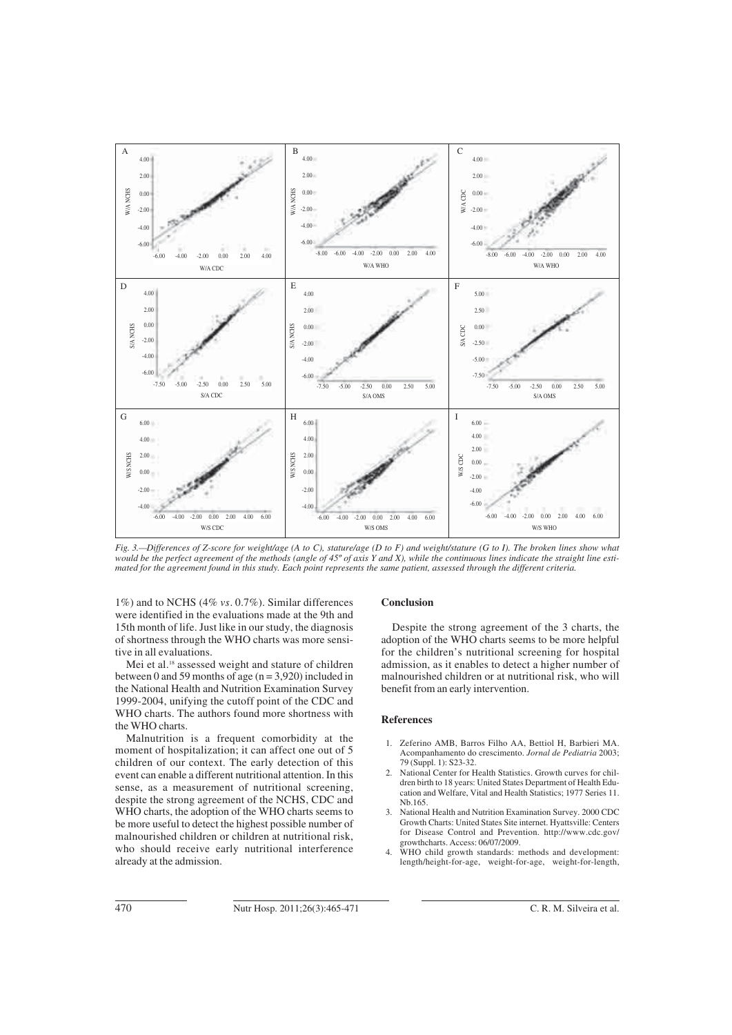

*Fig. 3.—Differences of Z-score for weight/age (A to C), stature/age (D to F) and weight/stature (G to I). The broken lines show what would be the perfect agreement of the methods (angle of 45º of axis Y and X), while the continuous lines indicate the straight line estimated for the agreement found in this study. Each point represents the same patient, assessed through the different criteria.*

1%) and to NCHS (4% *vs.* 0.7%). Similar differences were identified in the evaluations made at the 9th and 15th month of life. Just like in our study, the diagnosis of shortness through the WHO charts was more sensitive in all evaluations.

Mei et al.<sup>18</sup> assessed weight and stature of children between 0 and 59 months of age  $(n = 3.920)$  included in the National Health and Nutrition Examination Survey 1999-2004, unifying the cutoff point of the CDC and WHO charts. The authors found more shortness with the WHO charts.

Malnutrition is a frequent comorbidity at the moment of hospitalization; it can affect one out of 5 children of our context. The early detection of this event can enable a different nutritional attention. In this sense, as a measurement of nutritional screening, despite the strong agreement of the NCHS, CDC and WHO charts, the adoption of the WHO charts seems to be more useful to detect the highest possible number of malnourished children or children at nutritional risk, who should receive early nutritional interference already at the admission.

#### **Conclusion**

Despite the strong agreement of the 3 charts, the adoption of the WHO charts seems to be more helpful for the children's nutritional screening for hospital admission, as it enables to detect a higher number of malnourished children or at nutritional risk, who will benefit from an early intervention.

#### **References**

- 1. Zeferino AMB, Barros Filho AA, Bettiol H, Barbieri MA. Acompanhamento do crescimento. *Jornal de Pediatria* 2003; 79 (Suppl. 1): S23-32.
- National Center for Health Statistics. Growth curves for children birth to 18 years: United States Department of Health Education and Welfare, Vital and Health Statistics; 1977 Series 11. Nb.165.
- 3. National Health and Nutrition Examination Survey. 2000 CDC Growth Charts: United States Site internet. Hyattsville: Centers for Disease Control and Prevention. http://www.cdc.gov/ growthcharts. Access: 06/07/2009.
- WHO child growth standards: methods and development: length/height-for-age, weight-for-age, weight-for-length,